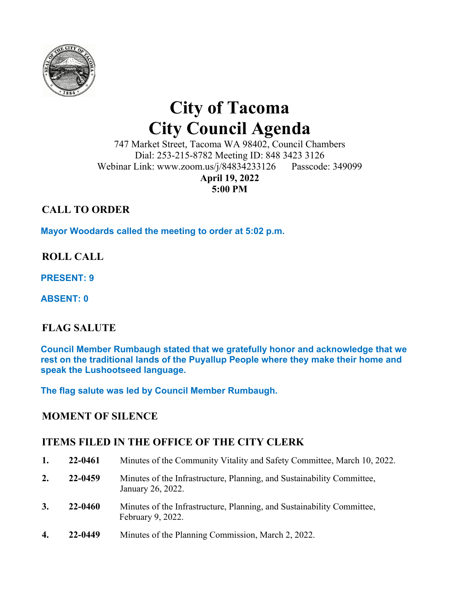

# **City of Tacoma City Council Agenda**

747 Market Street, Tacoma WA 98402, Council Chambers Dial: 253-215-8782 Meeting ID: 848 3423 3126 Webinar Link: www.zoom.us/j/84834233126 Passcode: 349099

**April 19, 2022 5:00 PM** 

# **CALL TO ORDER**

**Mayor Woodards called the meeting to order at 5:02 p.m.** 

**ROLL CALL** 

**PRESENT: 9** 

**ABSENT: 0** 

# **FLAG SALUTE**

**Council Member Rumbaugh stated that we gratefully honor and acknowledge that we rest on the traditional lands of the Puyallup People where they make their home and speak the Lushootseed language.** 

**The flag salute was led by Council Member Rumbaugh.** 

# **MOMENT OF SILENCE**

# **ITEMS FILED IN THE OFFICE OF THE CITY CLERK**

| 1. | 22-0461 | Minutes of the Community Vitality and Safety Committee, March 10, 2022.                     |
|----|---------|---------------------------------------------------------------------------------------------|
| 2. | 22-0459 | Minutes of the Infrastructure, Planning, and Sustainability Committee,<br>January 26, 2022. |
| 3. | 22-0460 | Minutes of the Infrastructure, Planning, and Sustainability Committee,<br>February 9, 2022. |
| 4. | 22-0449 | Minutes of the Planning Commission, March 2, 2022.                                          |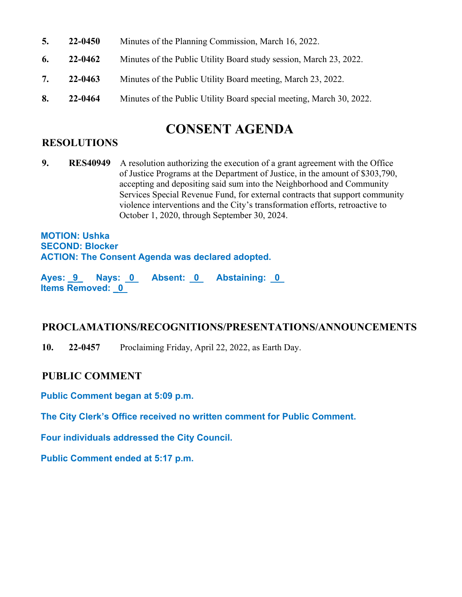- **5. 22-0450** Minutes of the Planning Commission, March 16, 2022.
- **6. 22-0462** Minutes of the Public Utility Board study session, March 23, 2022.
- **7. 22-0463** Minutes of the Public Utility Board meeting, March 23, 2022.
- **8. 22-0464** Minutes of the Public Utility Board special meeting, March 30, 2022.

# **CONSENT AGENDA**

## **RESOLUTIONS**

**9. RES40949** A resolution authorizing the execution of a grant agreement with the Office of Justice Programs at the Department of Justice, in the amount of \$303,790, accepting and depositing said sum into the Neighborhood and Community Services Special Revenue Fund, for external contracts that support community violence interventions and the City's transformation efforts, retroactive to October 1, 2020, through September 30, 2024.

**MOTION: Ushka SECOND: Blocker ACTION: The Consent Agenda was declared adopted.** 

Ayes: 9 Nays: 0 Absent: 0 Abstaining: 0 **Items Removed: \_0** 

### **PROCLAMATIONS/RECOGNITIONS/PRESENTATIONS/ANNOUNCEMENTS**

**10. 22-0457** Proclaiming Friday, April 22, 2022, as Earth Day.

## **PUBLIC COMMENT**

**Public Comment began at 5:09 p.m.** 

**The City Clerk's Office received no written comment for Public Comment.** 

**Four individuals addressed the City Council.** 

**Public Comment ended at 5:17 p.m.**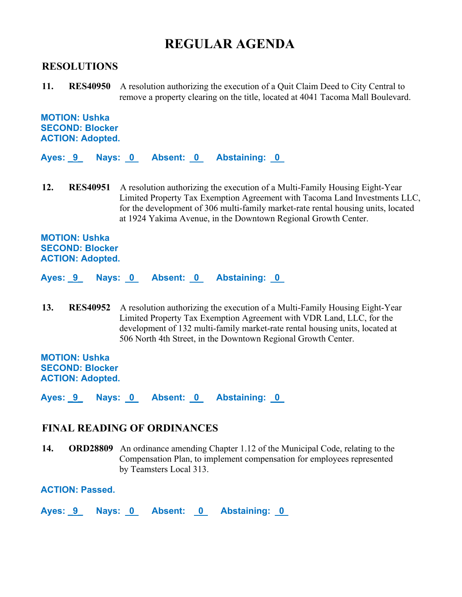# **REGULAR AGENDA**

#### **RESOLUTIONS**

**11. RES40950** A resolution authorizing the execution of a Quit Claim Deed to City Central to remove a property clearing on the title, located at 4041 Tacoma Mall Boulevard.

**MOTION: Ushka SECOND: Blocker ACTION: Adopted.** 

**Ayes: \_9\_ Nays: 0 Absent: 0 Abstaining: 0** 

**12. RES40951** A resolution authorizing the execution of a Multi-Family Housing Eight-Year Limited Property Tax Exemption Agreement with Tacoma Land Investments LLC, for the development of 306 multi-family market-rate rental housing units, located at 1924 Yakima Avenue, in the Downtown Regional Growth Center.

**MOTION: Ushka SECOND: Blocker ACTION: Adopted.** 

Ayes: 9 Nays: 0 Absent: 0 Abstaining: 0

**13. RES40952** A resolution authorizing the execution of a Multi-Family Housing Eight-Year Limited Property Tax Exemption Agreement with VDR Land, LLC, for the development of 132 multi-family market-rate rental housing units, located at 506 North 4th Street, in the Downtown Regional Growth Center.

**MOTION: Ushka SECOND: Blocker ACTION: Adopted.** 

**Ayes: \_9\_ Nays: 0 Absent: 0 Abstaining: 0** 

### **FINAL READING OF ORDINANCES**

**14. ORD28809** An ordinance amending Chapter 1.12 of the Municipal Code, relating to the Compensation Plan, to implement compensation for employees represented by Teamsters Local 313.

#### **ACTION: Passed.**

Ayes: 9 Nays: 0 Absent: 0 Abstaining: 0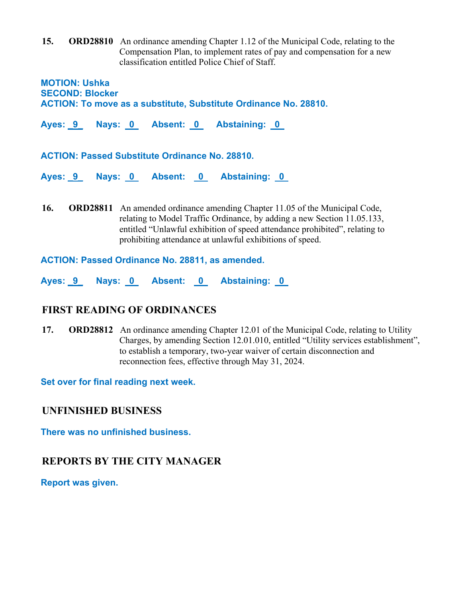**15. ORD28810** An ordinance amending Chapter 1.12 of the Municipal Code, relating to the Compensation Plan, to implement rates of pay and compensation for a new classification entitled Police Chief of Staff.

**MOTION: Ushka SECOND: Blocker ACTION: To move as a substitute, Substitute Ordinance No. 28810.** 

Ayes: 9 Nays: 0 Absent: 0 Abstaining: 0

**ACTION: Passed Substitute Ordinance No. 28810.** 

Ayes: 9 Nays: 0 Absent: 0 Abstaining: 0

**16. ORD28811** An amended ordinance amending Chapter 11.05 of the Municipal Code, relating to Model Traffic Ordinance, by adding a new Section 11.05.133, entitled "Unlawful exhibition of speed attendance prohibited", relating to prohibiting attendance at unlawful exhibitions of speed.

**ACTION: Passed Ordinance No. 28811, as amended.** 

**Ayes: \_9\_ Nays: 0 Absent: 0 Abstaining: 0** 

## **FIRST READING OF ORDINANCES**

**17. ORD28812** An ordinance amending Chapter 12.01 of the Municipal Code, relating to Utility Charges, by amending Section 12.01.010, entitled "Utility services establishment", to establish a temporary, two-year waiver of certain disconnection and reconnection fees, effective through May 31, 2024.

**Set over for final reading next week.** 

### **UNFINISHED BUSINESS**

**There was no unfinished business.**

# **REPORTS BY THE CITY MANAGER**

**Report was given.**